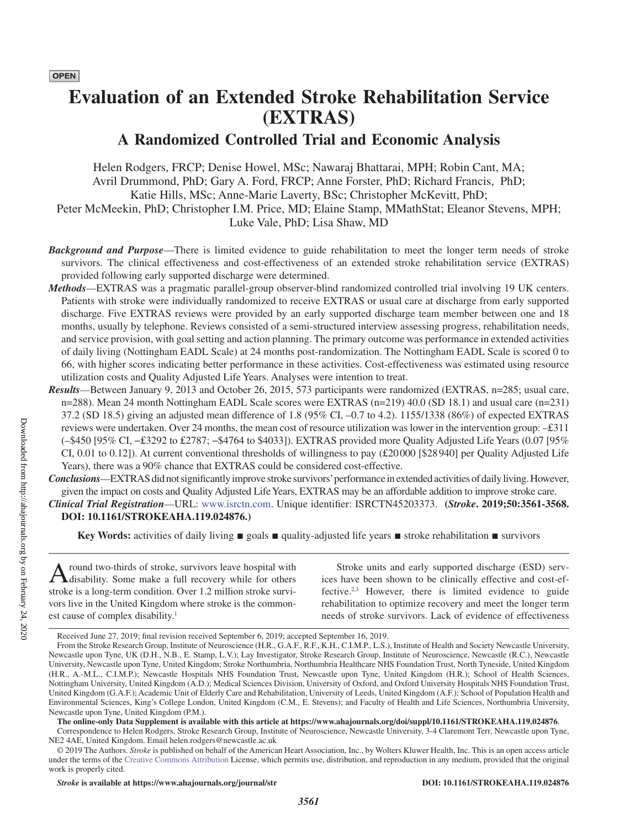# **Evaluation of an Extended Stroke Rehabilitation Service (EXTRAS)**

# **A Randomized Controlled Trial and Economic Analysis**

Helen Rodgers, FRCP; Denise Howel, MSc; Nawaraj Bhattarai, MPH; Robin Cant, MA; Avril Drummond, PhD; Gary A. Ford, FRCP; Anne Forster, PhD; Richard Francis, PhD; Katie Hills, MSc; Anne-Marie Laverty, BSc; Christopher McKevitt, PhD; Peter McMeekin, PhD; Christopher I.M. Price, MD; Elaine Stamp, MMathStat; Eleanor Stevens, MPH; Luke Vale, PhD; Lisa Shaw, MD

- *Background and Purpose*—There is limited evidence to guide rehabilitation to meet the longer term needs of stroke survivors. The clinical effectiveness and cost-effectiveness of an extended stroke rehabilitation service (EXTRAS) provided following early supported discharge were determined.
- *Methods*—EXTRAS was a pragmatic parallel-group observer-blind randomized controlled trial involving 19 UK centers. Patients with stroke were individually randomized to receive EXTRAS or usual care at discharge from early supported discharge. Five EXTRAS reviews were provided by an early supported discharge team member between one and 18 months, usually by telephone. Reviews consisted of a semi-structured interview assessing progress, rehabilitation needs, and service provision, with goal setting and action planning. The primary outcome was performance in extended activities of daily living (Nottingham EADL Scale) at 24 months post-randomization. The Nottingham EADL Scale is scored 0 to 66, with higher scores indicating better performance in these activities. Cost-effectiveness was estimated using resource utilization costs and Quality Adjusted Life Years. Analyses were intention to treat.
- *Results*—Between January 9, 2013 and October 26, 2015, 573 participants were randomized (EXTRAS, n=285; usual care, n=288). Mean 24 month Nottingham EADL Scale scores were EXTRAS (n=219) 40.0 (SD 18.1) and usual care (n=231) 37.2 (SD 18.5) giving an adjusted mean difference of 1.8 (95% CI, –0.7 to 4.2). 1155/1338 (86%) of expected EXTRAS reviews were undertaken. Over 24 months, the mean cost of resource utilization was lower in the intervention group: –£311 (–\$450 [95% CI, −£3292 to £2787; −\$4764 to \$4033]). EXTRAS provided more Quality Adjusted Life Years (0.07 [95% CI, 0.01 to 0.12]). At current conventional thresholds of willingness to pay (£20000 [\$28940] per Quality Adjusted Life Years), there was a 90% chance that EXTRAS could be considered cost-effective.

*Conclusions*—EXTRAS did not significantly improve stroke survivors' performance in extended activities of daily living. However, given the impact on costs and Quality Adjusted Life Years, EXTRAS may be an affordable addition to improve stroke care.

*Clinical Trial Registration*—URL: <www.isrctn.com>. Unique identifier: ISRCTN45203373. **(***Stroke***. 2019;50:3561-3568. DOI: 10.1161/STROKEAHA.119.024876.)**

**Key Words:** activities of daily living ■ goals ■ quality-adjusted life years ■ stroke rehabilitation ■ survivors

Around two-thirds of stroke, survivors leave hospital with disability. Some make a full recovery while for others stroke is a long-term condition. Over 1.2 million stroke survivors live in the United Kingdom where stroke is the commonest cause of complex disability.<sup>1</sup>

Stroke units and early supported discharge (ESD) services have been shown to be clinically effective and cost-effective.2,3 However, there is limited evidence to guide rehabilitation to optimize recovery and meet the longer term needs of stroke survivors. Lack of evidence of effectiveness

**The online-only Data Supplement is available with this article at <https://www.ahajournals.org/doi/suppl/10.1161/STROKEAHA.119.024876>**. Correspondence to Helen Rodgers, Stroke Research Group, Institute of Neuroscience, Newcastle University, 3-4 Claremont Terr, Newcastle upon Tyne, NE2 4AE, United Kingdom. Email [helen.rodgers@newcastle.ac.uk](mailto:helen.rodgers@newcastle.ac.uk)

Received June 27, 2019; final revision received September 6, 2019; accepted September 16, 2019.

From the Stroke Research Group, Institute of Neuroscience (H.R., G.A.F., R.F., K.H., C.I.M.P., L.S.), Institute of Health and Society Newcastle University, Newcastle upon Tyne, UK (D.H., N.B., E. Stamp, L.V.); Lay Investigator, Stroke Research Group, Institute of Neuroscience, Newcastle (R.C.), Newcastle University, Newcastle upon Tyne, United Kingdom; Stroke Northumbria, Northumbria Healthcare NHS Foundation Trust, North Tyneside, United Kingdom (H.R., A.-M.L., C.I.M.P.); Newcastle Hospitals NHS Foundation Trust, Newcastle upon Tyne, United Kingdom (H.R.); School of Health Sciences, Nottingham University, United Kingdom (A.D.); Medical Sciences Division, University of Oxford, and Oxford University Hospitals NHS Foundation Trust, United Kingdom (G.A.F.); Academic Unit of Elderly Care and Rehabilitation, University of Leeds, United Kingdom (A.F.); School of Population Health and Environmental Sciences, King's College London, United Kingdom (C.M., E. Stevens); and Faculty of Health and Life Sciences, Northumbria University, Newcastle upon Tyne, United Kingdom (P.M.).

<sup>© 2019</sup> The Authors. *Stroke* is published on behalf of the American Heart Association, Inc., by Wolters Kluwer Health, Inc. This is an open access article under the terms of the [Creative Commons Attribution](https://creativecommons.org/licenses/by/4.0/) License, which permits use, distribution, and reproduction in any medium, provided that the original work is properly cited.

*Stroke* **is available at<https://www.ahajournals.org/journal/str> DOI: 10.1161/STROKEAHA.119.024876**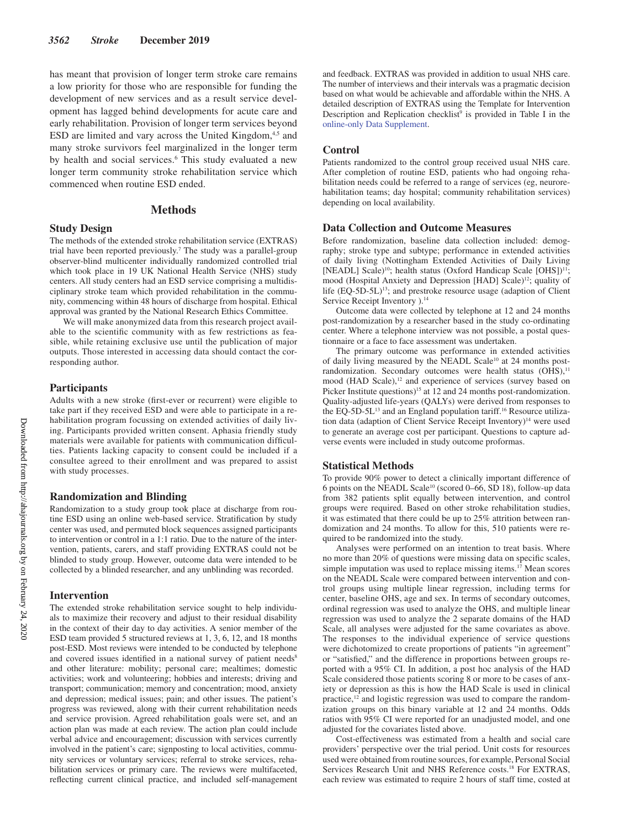has meant that provision of longer term stroke care remains a low priority for those who are responsible for funding the development of new services and as a result service development has lagged behind developments for acute care and early rehabilitation. Provision of longer term services beyond ESD are limited and vary across the United Kingdom,<sup>4,5</sup> and many stroke survivors feel marginalized in the longer term by health and social services.<sup>6</sup> This study evaluated a new longer term community stroke rehabilitation service which commenced when routine ESD ended.

# **Methods**

### **Study Design**

The methods of the extended stroke rehabilitation service (EXTRAS) trial have been reported previously.7 The study was a parallel-group observer-blind multicenter individually randomized controlled trial which took place in 19 UK National Health Service (NHS) study centers. All study centers had an ESD service comprising a multidisciplinary stroke team which provided rehabilitation in the community, commencing within 48 hours of discharge from hospital. Ethical approval was granted by the National Research Ethics Committee.

We will make anonymized data from this research project available to the scientific community with as few restrictions as feasible, while retaining exclusive use until the publication of major outputs. Those interested in accessing data should contact the corresponding author.

#### **Participants**

Adults with a new stroke (first-ever or recurrent) were eligible to take part if they received ESD and were able to participate in a rehabilitation program focussing on extended activities of daily living. Participants provided written consent. Aphasia friendly study materials were available for patients with communication difficulties. Patients lacking capacity to consent could be included if a consultee agreed to their enrollment and was prepared to assist with study processes.

#### **Randomization and Blinding**

Randomization to a study group took place at discharge from routine ESD using an online web-based service. Stratification by study center was used, and permuted block sequences assigned participants to intervention or control in a 1:1 ratio. Due to the nature of the intervention, patients, carers, and staff providing EXTRAS could not be blinded to study group. However, outcome data were intended to be collected by a blinded researcher, and any unblinding was recorded.

#### **Intervention**

The extended stroke rehabilitation service sought to help individuals to maximize their recovery and adjust to their residual disability in the context of their day to day activities. A senior member of the ESD team provided 5 structured reviews at 1, 3, 6, 12, and 18 months post-ESD. Most reviews were intended to be conducted by telephone and covered issues identified in a national survey of patient needs<sup>8</sup> and other literature: mobility; personal care; mealtimes; domestic activities; work and volunteering; hobbies and interests; driving and transport; communication; memory and concentration; mood, anxiety and depression; medical issues; pain; and other issues. The patient's progress was reviewed, along with their current rehabilitation needs and service provision. Agreed rehabilitation goals were set, and an action plan was made at each review. The action plan could include verbal advice and encouragement; discussion with services currently involved in the patient's care; signposting to local activities, community services or voluntary services; referral to stroke services, rehabilitation services or primary care. The reviews were multifaceted, reflecting current clinical practice, and included self-management and feedback. EXTRAS was provided in addition to usual NHS care. The number of interviews and their intervals was a pragmatic decision based on what would be achievable and affordable within the NHS. A detailed description of EXTRAS using the Template for Intervention Description and Replication checklist<sup>9</sup> is provided in Table I in the [online-only Data Supplement.](https://www.ahajournals.org/doi/suppl/10.1161/STROKEAHA.119.024876)

#### **Control**

Patients randomized to the control group received usual NHS care. After completion of routine ESD, patients who had ongoing rehabilitation needs could be referred to a range of services (eg, neurorehabilitation teams; day hospital; community rehabilitation services) depending on local availability.

## **Data Collection and Outcome Measures**

Before randomization, baseline data collection included: demography; stroke type and subtype; performance in extended activities of daily living (Nottingham Extended Activities of Daily Living [NEADL] Scale)<sup>10</sup>; health status (Oxford Handicap Scale [OHS])<sup>11</sup>; mood (Hospital Anxiety and Depression [HAD] Scale)<sup>12</sup>; quality of life (EQ-5D-5L)<sup>13</sup>; and prestroke resource usage (adaption of Client Service Receipt Inventory ).<sup>14</sup>

Outcome data were collected by telephone at 12 and 24 months post-randomization by a researcher based in the study co-ordinating center. Where a telephone interview was not possible, a postal questionnaire or a face to face assessment was undertaken.

The primary outcome was performance in extended activities of daily living measured by the NEADL Scale<sup>10</sup> at 24 months postrandomization. Secondary outcomes were health status (OHS),<sup>11</sup> mood (HAD Scale),<sup>12</sup> and experience of services (survey based on Picker Institute questions)<sup>15</sup> at 12 and 24 months post-randomization. Quality-adjusted life-years (QALYs) were derived from responses to the EQ-5D-5L $^{13}$  and an England population tariff.<sup>16</sup> Resource utilization data (adaption of Client Service Receipt Inventory)<sup>14</sup> were used to generate an average cost per participant. Questions to capture adverse events were included in study outcome proformas.

#### **Statistical Methods**

To provide 90% power to detect a clinically important difference of 6 points on the NEADL Scale10 (scored 0–66, SD 18), follow-up data from 382 patients split equally between intervention, and control groups were required. Based on other stroke rehabilitation studies, it was estimated that there could be up to 25% attrition between randomization and 24 months. To allow for this, 510 patients were required to be randomized into the study.

Analyses were performed on an intention to treat basis. Where no more than 20% of questions were missing data on specific scales, simple imputation was used to replace missing items.<sup>17</sup> Mean scores on the NEADL Scale were compared between intervention and control groups using multiple linear regression, including terms for center, baseline OHS, age and sex. In terms of secondary outcomes, ordinal regression was used to analyze the OHS, and multiple linear regression was used to analyze the 2 separate domains of the HAD Scale, all analyses were adjusted for the same covariates as above. The responses to the individual experience of service questions were dichotomized to create proportions of patients "in agreement" or "satisfied," and the difference in proportions between groups reported with a 95% CI. In addition, a post hoc analysis of the HAD Scale considered those patients scoring 8 or more to be cases of anxiety or depression as this is how the HAD Scale is used in clinical practice,12 and logistic regression was used to compare the randomization groups on this binary variable at 12 and 24 months. Odds ratios with 95% CI were reported for an unadjusted model, and one adjusted for the covariates listed above.

Cost-effectiveness was estimated from a health and social care providers' perspective over the trial period. Unit costs for resources used were obtained from routine sources, for example, Personal Social Services Research Unit and NHS Reference costs.<sup>18</sup> For EXTRAS, each review was estimated to require 2 hours of staff time, costed at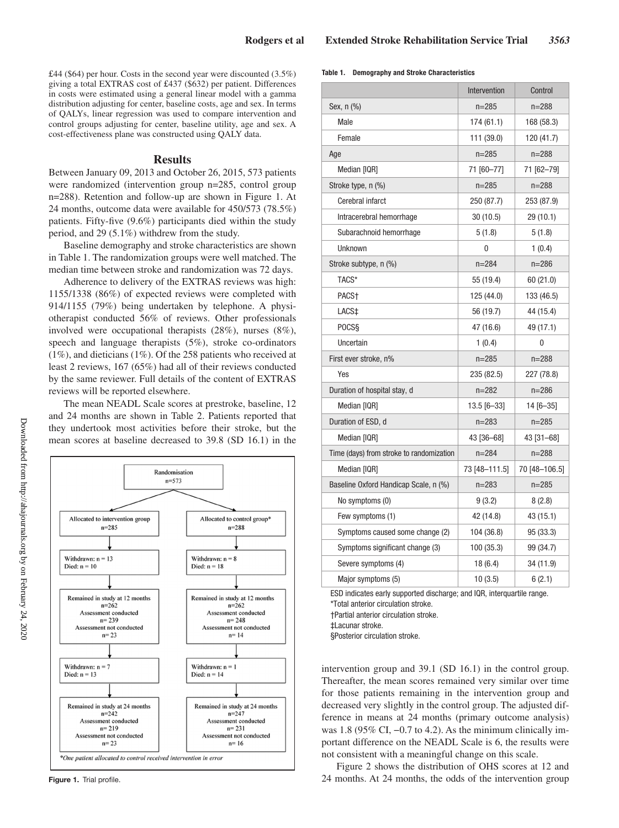£44 (\$64) per hour. Costs in the second year were discounted (3.5%) giving a total EXTRAS cost of £437 (\$632) per patient. Differences in costs were estimated using a general linear model with a gamma distribution adjusting for center, baseline costs, age and sex. In terms of QALYs, linear regression was used to compare intervention and control groups adjusting for center, baseline utility, age and sex. A cost-effectiveness plane was constructed using QALY data.

#### **Results**

Between January 09, 2013 and October 26, 2015, 573 patients were randomized (intervention group n=285, control group n=288). Retention and follow-up are shown in Figure 1. At 24 months, outcome data were available for 450/573 (78.5%) patients. Fifty-five (9.6%) participants died within the study period, and 29 (5.1%) withdrew from the study.

Baseline demography and stroke characteristics are shown in Table 1. The randomization groups were well matched. The median time between stroke and randomization was 72 days.

Adherence to delivery of the EXTRAS reviews was high: 1155/1338 (86%) of expected reviews were completed with 914/1155 (79%) being undertaken by telephone. A physiotherapist conducted 56% of reviews. Other professionals involved were occupational therapists (28%), nurses (8%), speech and language therapists (5%), stroke co-ordinators (1%), and dieticians (1%). Of the 258 patients who received at least 2 reviews, 167 (65%) had all of their reviews conducted by the same reviewer. Full details of the content of EXTRAS reviews will be reported elsewhere.

The mean NEADL Scale scores at prestroke, baseline, 12 and 24 months are shown in Table 2. Patients reported that they undertook most activities before their stroke, but the mean scores at baseline decreased to 39.8 (SD 16.1) in the



#### **Table 1. Demography and Stroke Characteristics**

|                                          | Intervention  | Control       |
|------------------------------------------|---------------|---------------|
| Sex, n (%)                               | $n = 285$     | $n = 288$     |
| Male                                     | 174 (61.1)    | 168 (58.3)    |
| Female                                   | 111 (39.0)    | 120 (41.7)    |
| Age                                      | $n = 285$     | $n = 288$     |
| Median [IQR]                             | 71 [60-77]    | 71 [62-79]    |
| Stroke type, n (%)                       | $n = 285$     | $n = 288$     |
| Cerebral infarct                         | 250 (87.7)    | 253 (87.9)    |
| Intracerebral hemorrhage                 | 30(10.5)      | 29 (10.1)     |
| Subarachnoid hemorrhage                  | 5(1.8)        | 5(1.8)        |
| Unknown                                  | 0             | 1(0.4)        |
| Stroke subtype, n (%)                    | $n = 284$     | $n = 286$     |
| TACS*                                    | 55 (19.4)     | 60(21.0)      |
| PACS <sup>+</sup>                        | 125 (44.0)    | 133 (46.5)    |
| LACS‡                                    | 56 (19.7)     | 44 (15.4)     |
| <b>POCSS</b>                             | 47 (16.6)     | 49 (17.1)     |
| Uncertain                                | 1(0.4)        | 0             |
| First ever stroke, n%                    | $n = 285$     | $n = 288$     |
| Yes                                      | 235 (82.5)    | 227 (78.8)    |
| Duration of hospital stay, d             | $n = 282$     | $n = 286$     |
| Median [IQR]                             | 13.5 [6-33]   | $14[6 - 35]$  |
| Duration of ESD, d                       | $n = 283$     | $n = 285$     |
| Median [IQR]                             | 43 [36-68]    | 43 [31-68]    |
| Time (days) from stroke to randomization | $n = 284$     | $n = 288$     |
| Median [IQR]                             | 73 [48-111.5] | 70 [48-106.5] |
| Baseline Oxford Handicap Scale, n (%)    | $n = 283$     | $n = 285$     |
| No symptoms (0)                          | 9(3.2)        | 8(2.8)        |
| Few symptoms (1)                         | 42 (14.8)     | 43 (15.1)     |
| Symptoms caused some change (2)          | 104 (36.8)    | 95 (33.3)     |
| Symptoms significant change (3)          | 100 (35.3)    | 99 (34.7)     |
| Severe symptoms (4)                      | 18 (6.4)      | 34 (11.9)     |
| Major symptoms (5)                       | 10(3.5)       | 6(2.1)        |

ESD indicates early supported discharge; and IQR, interquartile range.

\*Total anterior circulation stroke.

†Partial anterior circulation stroke.

‡Lacunar stroke.

§Posterior circulation stroke.

intervention group and 39.1 (SD 16.1) in the control group. Thereafter, the mean scores remained very similar over time for those patients remaining in the intervention group and decreased very slightly in the control group. The adjusted difference in means at 24 months (primary outcome analysis) was 1.8 (95% CI,  $-0.7$  to 4.2). As the minimum clinically important difference on the NEADL Scale is 6, the results were not consistent with a meaningful change on this scale.

Figure 2 shows the distribution of OHS scores at 12 and **Figure 1.** Trial profile. **24 months.** At 24 months, the odds of the intervention group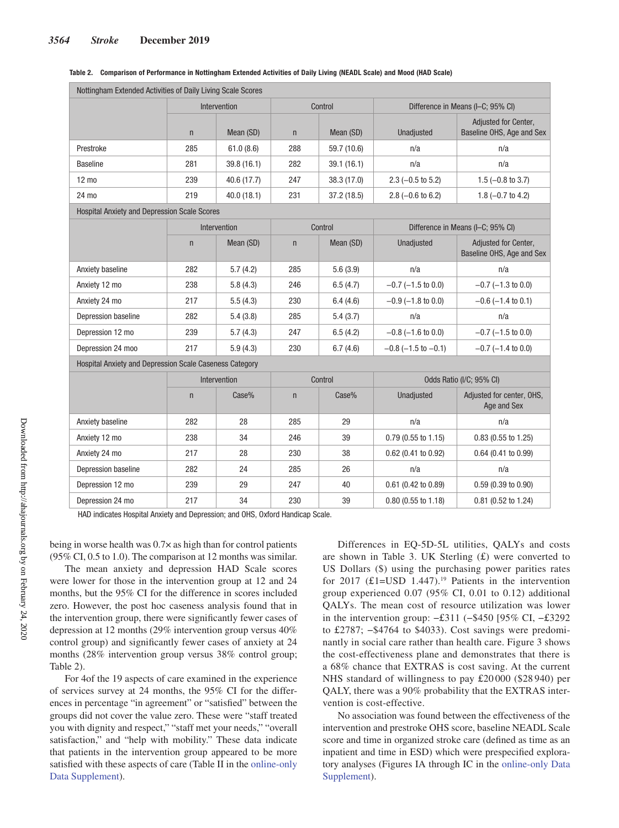| Nottingham Extended Activities of Daily Living Scale Scores |              |              |              |             |                                   |                                                   |
|-------------------------------------------------------------|--------------|--------------|--------------|-------------|-----------------------------------|---------------------------------------------------|
|                                                             | Intervention |              |              | Control     | Difference in Means (I-C; 95% CI) |                                                   |
|                                                             | $\mathsf{n}$ | Mean (SD)    | $\mathsf{n}$ | Mean (SD)   | Unadjusted                        | Adjusted for Center,<br>Baseline OHS, Age and Sex |
| Prestroke                                                   | 285          | 61.0(8.6)    | 288          | 59.7 (10.6) | n/a                               | n/a                                               |
| <b>Baseline</b>                                             | 281          | 39.8 (16.1)  | 282          | 39.1(16.1)  | n/a                               | n/a                                               |
| 12 mo                                                       | 239          | 40.6 (17.7)  | 247          | 38.3 (17.0) | $2.3$ (-0.5 to 5.2)               | $1.5$ (-0.8 to 3.7)                               |
| 24 mo                                                       | 219          | 40.0 (18.1)  | 231          | 37.2(18.5)  | $2.8$ (-0.6 to 6.2)               | $1.8 (-0.7 to 4.2)$                               |
| <b>Hospital Anxiety and Depression Scale Scores</b>         |              |              |              |             |                                   |                                                   |
|                                                             |              | Intervention | Control      |             | Difference in Means (I-C; 95% CI) |                                                   |
|                                                             | $\mathsf{n}$ | Mean (SD)    | $\mathsf{n}$ | Mean (SD)   | Unadjusted                        | Adjusted for Center,<br>Baseline OHS, Age and Sex |
| Anxiety baseline                                            | 282          | 5.7(4.2)     | 285          | 5.6(3.9)    | n/a                               | n/a                                               |
| Anxiety 12 mo                                               | 238          | 5.8(4.3)     | 246          | 6.5(4.7)    | $-0.7$ ( $-1.5$ to 0.0)           | $-0.7$ ( $-1.3$ to 0.0)                           |
| Anxiety 24 mo                                               | 217          | 5.5(4.3)     | 230          | 6.4(4.6)    | $-0.9$ ( $-1.8$ to 0.0)           | $-0.6$ ( $-1.4$ to 0.1)                           |
| Depression baseline                                         | 282          | 5.4(3.8)     | 285          | 5.4(3.7)    | n/a                               | n/a                                               |
| Depression 12 mo                                            | 239          | 5.7(4.3)     | 247          | 6.5(4.2)    | $-0.8$ ( $-1.6$ to 0.0)           | $-0.7$ ( $-1.5$ to 0.0)                           |
| Depression 24 moo                                           | 217          | 5.9(4.3)     | 230          | 6.7(4.6)    | $-0.8$ ( $-1.5$ to $-0.1$ )       | $-0.7$ ( $-1.4$ to 0.0)                           |
| Hospital Anxiety and Depression Scale Caseness Category     |              |              |              |             |                                   |                                                   |
|                                                             |              | Intervention | Control      |             | Odds Ratio (I/C; 95% CI)          |                                                   |
|                                                             | n            | Case%        | $\mathsf{n}$ | Case%       | Unadjusted                        | Adjusted for center, OHS,<br>Age and Sex          |
| Anxiety baseline                                            | 282          | 28           | 285          | 29          | n/a                               | n/a                                               |
| Anxiety 12 mo                                               | 238          | 34           | 246          | 39          | $0.79$ (0.55 to 1.15)             | $0.83$ (0.55 to 1.25)                             |
| Anxiety 24 mo                                               | 217          | 28           | 230          | 38          | 0.62 (0.41 to 0.92)               | 0.64 (0.41 to 0.99)                               |
| Depression baseline                                         | 282          | 24           | 285          | 26          | n/a                               | n/a                                               |
| Depression 12 mo                                            | 239          | 29           | 247          | 40          | 0.61 (0.42 to 0.89)               | 0.59(0.39 to 0.90)                                |
| Depression 24 mo                                            | 217          | 34           | 230          | 39          | $0.80$ (0.55 to 1.18)             | 0.81 (0.52 to 1.24)                               |

|  | Table 2. Comparison of Performance in Nottingham Extended Activities of Daily Living (NEADL Scale) and Mood (HAD Scale) |  |  |  |  |
|--|-------------------------------------------------------------------------------------------------------------------------|--|--|--|--|
|--|-------------------------------------------------------------------------------------------------------------------------|--|--|--|--|

HAD indicates Hospital Anxiety and Depression; and OHS, Oxford Handicap Scale.

being in worse health was 0.7× as high than for control patients (95% CI, 0.5 to 1.0). The comparison at 12 months was similar.

The mean anxiety and depression HAD Scale scores were lower for those in the intervention group at 12 and 24 months, but the 95% CI for the difference in scores included zero. However, the post hoc caseness analysis found that in the intervention group, there were significantly fewer cases of depression at 12 months (29% intervention group versus 40% control group) and significantly fewer cases of anxiety at 24 months (28% intervention group versus 38% control group; Table 2).

For 4of the 19 aspects of care examined in the experience of services survey at 24 months, the 95% CI for the differences in percentage "in agreement" or "satisfied" between the groups did not cover the value zero. These were "staff treated you with dignity and respect," "staff met your needs," "overall satisfaction," and "help with mobility." These data indicate that patients in the intervention group appeared to be more satisfied with these aspects of care (Table II in the [online-only](https://www.ahajournals.org/doi/suppl/10.1161/STROKEAHA.119.024876) [Data Supplement\)](https://www.ahajournals.org/doi/suppl/10.1161/STROKEAHA.119.024876).

Differences in EQ-5D-5L utilities, QALYs and costs are shown in Table 3. UK Sterling  $(f)$  were converted to US Dollars (\$) using the purchasing power parities rates for 2017 ( $£1=USD$  1.447).<sup>19</sup> Patients in the intervention group experienced 0.07 (95% CI, 0.01 to 0.12) additional QALYs. The mean cost of resource utilization was lower in the intervention group: −£311 (−\$450 [95% CI, −£3292 to £2787; −\$4764 to \$4033). Cost savings were predominantly in social care rather than health care. Figure 3 shows the cost-effectiveness plane and demonstrates that there is a 68% chance that EXTRAS is cost saving. At the current NHS standard of willingness to pay £20 000 (\$28 940) per QALY, there was a 90% probability that the EXTRAS intervention is cost-effective.

No association was found between the effectiveness of the intervention and prestroke OHS score, baseline NEADL Scale score and time in organized stroke care (defined as time as an inpatient and time in ESD) which were prespecified exploratory analyses (Figures IA through IC in the [online-only Data](https://www.ahajournals.org/doi/suppl/10.1161/STROKEAHA.119.024876) [Supplement](https://www.ahajournals.org/doi/suppl/10.1161/STROKEAHA.119.024876)).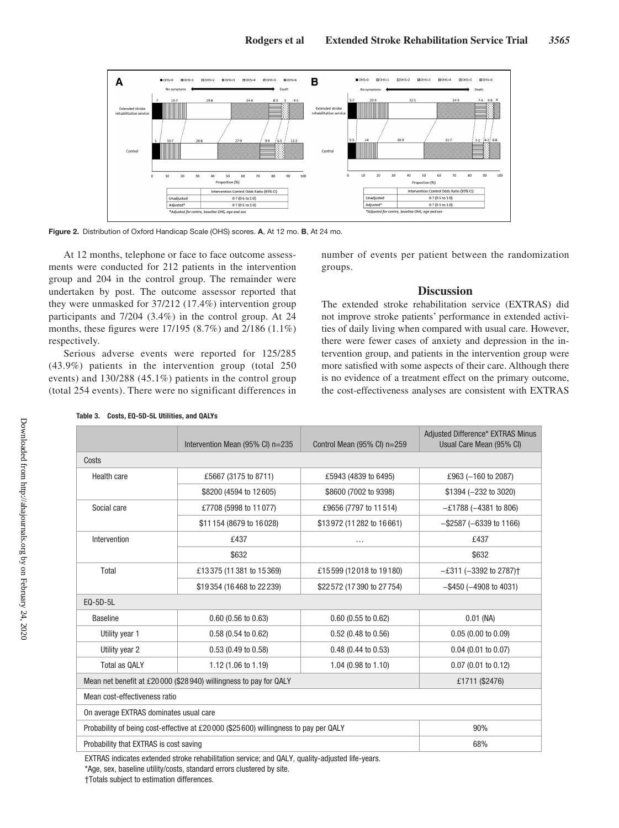

**Figure 2.** Distribution of Oxford Handicap Scale (OHS) scores. **A**, At 12 mo. **B**, At 24 mo.

At 12 months, telephone or face to face outcome assessments were conducted for 212 patients in the intervention group and 204 in the control group. The remainder were undertaken by post. The outcome assessor reported that they were unmasked for 37/212 (17.4%) intervention group participants and 7/204 (3.4%) in the control group. At 24 months, these figures were 17/195 (8.7%) and 2/186 (1.1%) respectively.

Serious adverse events were reported for 125/285 (43.9%) patients in the intervention group (total 250 events) and 130/288 (45.1%) patients in the control group (total 254 events). There were no significant differences in number of events per patient between the randomization groups.

# **Discussion**

The extended stroke rehabilitation service (EXTRAS) did not improve stroke patients' performance in extended activities of daily living when compared with usual care. However, there were fewer cases of anxiety and depression in the intervention group, and patients in the intervention group were more satisfied with some aspects of their care. Although there is no evidence of a treatment effect on the primary outcome, the cost-effectiveness analyses are consistent with EXTRAS

|                                                                                     | Intervention Mean (95% CI) n=235 | Control Mean (95% CI) n=259 | Adjusted Difference* EXTRAS Minus<br>Usual Care Mean (95% CI) |  |  |
|-------------------------------------------------------------------------------------|----------------------------------|-----------------------------|---------------------------------------------------------------|--|--|
| Costs                                                                               |                                  |                             |                                                               |  |  |
| Health care                                                                         | £5667 (3175 to 8711)             | £5943 (4839 to 6495)        | £963 (-160 to 2087)                                           |  |  |
|                                                                                     | \$8200 (4594 to 12605)           | \$8600 (7002 to 9398)       | \$1394 (-232 to 3020)                                         |  |  |
| Social care                                                                         | £7708 (5998 to 11077)            | £9656 (7797 to 11514)       | $-£1788 (-4381 to 806)$                                       |  |  |
|                                                                                     | \$11154 (8679 to 16028)          | \$13972 (11 282 to 16 661)  | $-$ \$2587 ( $-$ 6339 to 1166)                                |  |  |
| Intervention                                                                        | £437                             | $\cdots$                    | £437                                                          |  |  |
|                                                                                     | \$632                            |                             | \$632                                                         |  |  |
| Total                                                                               | £13375 (11381 to 15369)          | £15599 (12018 to 19180)     | $-£311 (-3392 to 2787)$ <sup>+</sup>                          |  |  |
|                                                                                     | \$19354 (16468 to 22 239)        | \$22 572 (17 390 to 27 754) | $-$ \$450 ( $-$ 4908 to 4031)                                 |  |  |
| EQ-5D-5L                                                                            |                                  |                             |                                                               |  |  |
| <b>Baseline</b>                                                                     | $0.60$ (0.56 to 0.63)            | $0.60$ (0.55 to 0.62)       | $0.01$ (NA)                                                   |  |  |
| Utility year 1                                                                      | $0.58$ (0.54 to 0.62)            | $0.52$ (0.48 to 0.56)       | 0.05(0.00 to 0.09)                                            |  |  |
| Utility year 2                                                                      | $0.53$ (0.49 to 0.58)            | $0.48$ (0.44 to 0.53)       | $0.04$ (0.01 to 0.07)                                         |  |  |
| <b>Total as OALY</b>                                                                | 1.12 (1.06 to 1.19)              | 1.04 (0.98 to 1.10)         | $0.07$ (0.01 to 0.12)                                         |  |  |
| Mean net benefit at £20000 (\$28940) willingness to pay for QALY                    |                                  |                             | £1711 (\$2476)                                                |  |  |
| Mean cost-effectiveness ratio                                                       |                                  |                             |                                                               |  |  |
| On average EXTRAS dominates usual care                                              |                                  |                             |                                                               |  |  |
| Probability of being cost-effective at £20000 (\$25600) willingness to pay per QALY |                                  |                             | 90%                                                           |  |  |
| Probability that EXTRAS is cost saving                                              |                                  |                             | 68%                                                           |  |  |
|                                                                                     |                                  |                             |                                                               |  |  |

**Table 3. Costs, EQ-5D-5L Utilities, and QALYs**

EXTRAS indicates extended stroke rehabilitation service; and QALY, quality-adjusted life-years.

\*Age, sex, baseline utility/costs, standard errors clustered by site.

†Totals subject to estimation differences.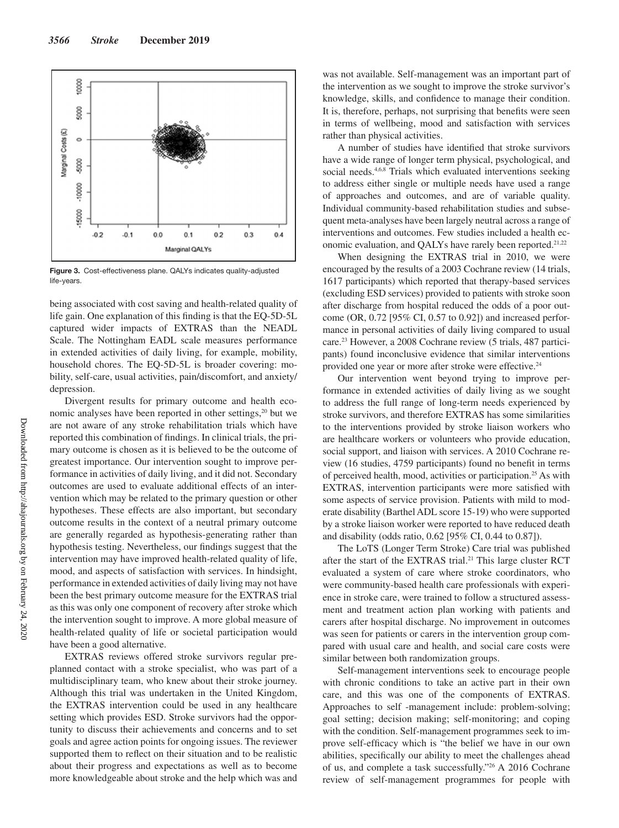

**Figure 3.** Cost-effectiveness plane. QALYs indicates quality-adjusted life-years.

being associated with cost saving and health-related quality of life gain. One explanation of this finding is that the EQ-5D-5L captured wider impacts of EXTRAS than the NEADL Scale. The Nottingham EADL scale measures performance in extended activities of daily living, for example, mobility, household chores. The EQ-5D-5L is broader covering: mobility, self-care, usual activities, pain/discomfort, and anxiety/ depression.

Divergent results for primary outcome and health economic analyses have been reported in other settings,<sup>20</sup> but we are not aware of any stroke rehabilitation trials which have reported this combination of findings. In clinical trials, the primary outcome is chosen as it is believed to be the outcome of greatest importance. Our intervention sought to improve performance in activities of daily living, and it did not. Secondary outcomes are used to evaluate additional effects of an intervention which may be related to the primary question or other hypotheses. These effects are also important, but secondary outcome results in the context of a neutral primary outcome are generally regarded as hypothesis-generating rather than hypothesis testing. Nevertheless, our findings suggest that the intervention may have improved health-related quality of life, mood, and aspects of satisfaction with services. In hindsight, performance in extended activities of daily living may not have been the best primary outcome measure for the EXTRAS trial as this was only one component of recovery after stroke which the intervention sought to improve. A more global measure of health-related quality of life or societal participation would have been a good alternative.

EXTRAS reviews offered stroke survivors regular preplanned contact with a stroke specialist, who was part of a multidisciplinary team, who knew about their stroke journey. Although this trial was undertaken in the United Kingdom, the EXTRAS intervention could be used in any healthcare setting which provides ESD. Stroke survivors had the opportunity to discuss their achievements and concerns and to set goals and agree action points for ongoing issues. The reviewer supported them to reflect on their situation and to be realistic about their progress and expectations as well as to become more knowledgeable about stroke and the help which was and was not available. Self-management was an important part of the intervention as we sought to improve the stroke survivor's knowledge, skills, and confidence to manage their condition. It is, therefore, perhaps, not surprising that benefits were seen in terms of wellbeing, mood and satisfaction with services rather than physical activities.

A number of studies have identified that stroke survivors have a wide range of longer term physical, psychological, and social needs.4,6,8 Trials which evaluated interventions seeking to address either single or multiple needs have used a range of approaches and outcomes, and are of variable quality. Individual community-based rehabilitation studies and subsequent meta-analyses have been largely neutral across a range of interventions and outcomes. Few studies included a health economic evaluation, and QALYs have rarely been reported.<sup>21,22</sup>

When designing the EXTRAS trial in 2010, we were encouraged by the results of a 2003 Cochrane review (14 trials, 1617 participants) which reported that therapy-based services (excluding ESD services) provided to patients with stroke soon after discharge from hospital reduced the odds of a poor outcome (OR, 0.72 [95% CI, 0.57 to 0.92]) and increased performance in personal activities of daily living compared to usual care.23 However, a 2008 Cochrane review (5 trials, 487 participants) found inconclusive evidence that similar interventions provided one year or more after stroke were effective.<sup>24</sup>

Our intervention went beyond trying to improve performance in extended activities of daily living as we sought to address the full range of long-term needs experienced by stroke survivors, and therefore EXTRAS has some similarities to the interventions provided by stroke liaison workers who are healthcare workers or volunteers who provide education, social support, and liaison with services. A 2010 Cochrane review (16 studies, 4759 participants) found no benefit in terms of perceived health, mood, activities or participation.25 As with EXTRAS, intervention participants were more satisfied with some aspects of service provision. Patients with mild to moderate disability (Barthel ADL score 15-19) who were supported by a stroke liaison worker were reported to have reduced death and disability (odds ratio, 0.62 [95% CI, 0.44 to 0.87]).

The LoTS (Longer Term Stroke) Care trial was published after the start of the EXTRAS trial.<sup>21</sup> This large cluster RCT evaluated a system of care where stroke coordinators, who were community-based health care professionals with experience in stroke care, were trained to follow a structured assessment and treatment action plan working with patients and carers after hospital discharge. No improvement in outcomes was seen for patients or carers in the intervention group compared with usual care and health, and social care costs were similar between both randomization groups.

Self-management interventions seek to encourage people with chronic conditions to take an active part in their own care, and this was one of the components of EXTRAS. Approaches to self -management include: problem-solving; goal setting; decision making; self-monitoring; and coping with the condition. Self-management programmes seek to improve self-efficacy which is "the belief we have in our own abilities, specifically our ability to meet the challenges ahead of us, and complete a task successfully."26 A 2016 Cochrane review of self-management programmes for people with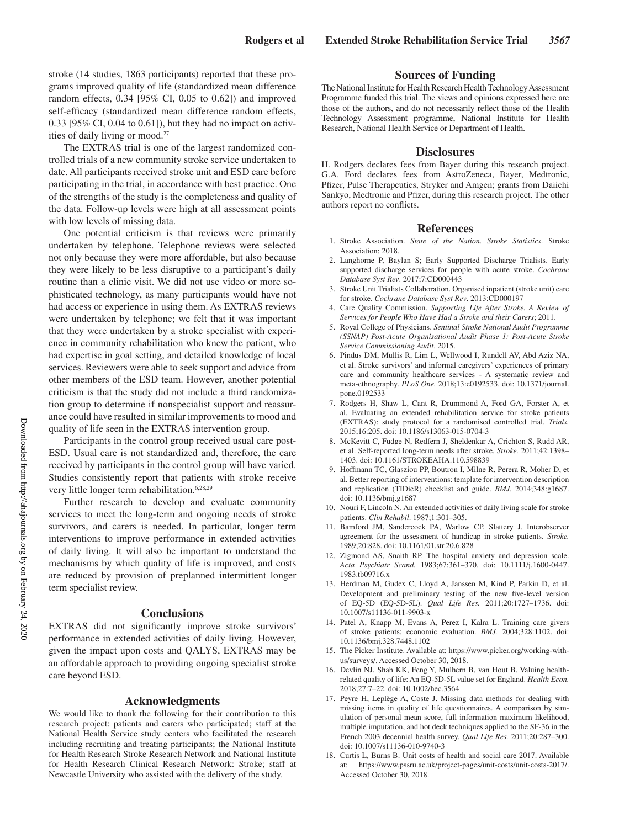stroke (14 studies, 1863 participants) reported that these programs improved quality of life (standardized mean difference random effects,  $0.34$  [95% CI, 0.05 to 0.62]) and improved self-efficacy (standardized mean difference random effects, 0.33 [95% CI, 0.04 to 0.61]), but they had no impact on activities of daily living or mood.<sup>27</sup>

The EXTRAS trial is one of the largest randomized controlled trials of a new community stroke service undertaken to date. All participants received stroke unit and ESD care before participating in the trial, in accordance with best practice. One of the strengths of the study is the completeness and quality of the data. Follow-up levels were high at all assessment points with low levels of missing data.

One potential criticism is that reviews were primarily undertaken by telephone. Telephone reviews were selected not only because they were more affordable, but also because they were likely to be less disruptive to a participant's daily routine than a clinic visit. We did not use video or more sophisticated technology, as many participants would have not had access or experience in using them. As EXTRAS reviews were undertaken by telephone; we felt that it was important that they were undertaken by a stroke specialist with experience in community rehabilitation who knew the patient, who had expertise in goal setting, and detailed knowledge of local services. Reviewers were able to seek support and advice from other members of the ESD team. However, another potential criticism is that the study did not include a third randomization group to determine if nonspecialist support and reassurance could have resulted in similar improvements to mood and quality of life seen in the EXTRAS intervention group.

Participants in the control group received usual care post-ESD. Usual care is not standardized and, therefore, the care received by participants in the control group will have varied. Studies consistently report that patients with stroke receive very little longer term rehabilitation.<sup>6,28,29</sup>

Further research to develop and evaluate community services to meet the long-term and ongoing needs of stroke survivors, and carers is needed. In particular, longer term interventions to improve performance in extended activities of daily living. It will also be important to understand the mechanisms by which quality of life is improved, and costs are reduced by provision of preplanned intermittent longer term specialist review.

#### **Conclusions**

EXTRAS did not significantly improve stroke survivors' performance in extended activities of daily living. However, given the impact upon costs and QALYS, EXTRAS may be an affordable approach to providing ongoing specialist stroke care beyond ESD.

# **Acknowledgments**

We would like to thank the following for their contribution to this research project: patients and carers who participated; staff at the National Health Service study centers who facilitated the research including recruiting and treating participants; the National Institute for Health Research Stroke Research Network and National Institute for Health Research Clinical Research Network: Stroke; staff at Newcastle University who assisted with the delivery of the study.

# **Sources of Funding**

The National Institute for Health Research Health Technology Assessment Programme funded this trial. The views and opinions expressed here are those of the authors, and do not necessarily reflect those of the Health Technology Assessment programme, National Institute for Health Research, National Health Service or Department of Health.

#### **Disclosures**

H. Rodgers declares fees from Bayer during this research project. G.A. Ford declares fees from AstroZeneca, Bayer, Medtronic, Pfizer, Pulse Therapeutics, Stryker and Amgen; grants from Daiichi Sankyo, Medtronic and Pfizer, during this research project. The other authors report no conflicts.

#### **References**

- 1. Stroke Association. *State of the Nation. Stroke Statistics*. Stroke Association; 2018.
- 2. Langhorne P, Baylan S; Early Supported Discharge Trialists. Early supported discharge services for people with acute stroke. *Cochrane Database Syst Rev*. 2017;7:CD000443
- 3. Stroke Unit Trialists Collaboration. Organised inpatient (stroke unit) care for stroke. *Cochrane Database Syst Rev*. 2013:CD000197
- 4. Care Quality Commission. *Supporting Life After Stroke. A Review of Services for People Who Have Had a Stroke and their Carers*; 2011.
- 5. Royal College of Physicians. *Sentinal Stroke National Audit Programme (SSNAP) Post-Acute Organisational Audit Phase 1: Post-Acute Stroke Service Commissioning Audit*. 2015.
- 6. Pindus DM, Mullis R, Lim L, Wellwood I, Rundell AV, Abd Aziz NA, et al. Stroke survivors' and informal caregivers' experiences of primary care and community healthcare services - A systematic review and meta-ethnography. *PLoS One.* 2018;13:e0192533. doi: 10.1371/journal. pone.0192533
- 7. Rodgers H, Shaw L, Cant R, Drummond A, Ford GA, Forster A, et al. Evaluating an extended rehabilitation service for stroke patients (EXTRAS): study protocol for a randomised controlled trial. *Trials.* 2015;16:205. doi: 10.1186/s13063-015-0704-3
- 8. McKevitt C, Fudge N, Redfern J, Sheldenkar A, Crichton S, Rudd AR, et al. Self-reported long-term needs after stroke. *Stroke.* 2011;42:1398– 1403. doi: 10.1161/STROKEAHA.110.598839
- 9. Hoffmann TC, Glasziou PP, Boutron I, Milne R, Perera R, Moher D, et al. Better reporting of interventions: template for intervention description and replication (TIDieR) checklist and guide. *BMJ.* 2014;348:g1687. doi: 10.1136/bmj.g1687
- 10. Nouri F, Lincoln N. An extended activities of daily living scale for stroke patients. *Clin Rehabil*. 1987;1:301–305.
- 11. Bamford JM, Sandercock PA, Warlow CP, Slattery J. Interobserver agreement for the assessment of handicap in stroke patients. *Stroke.* 1989;20:828. doi: 10.1161/01.str.20.6.828
- 12. Zigmond AS, Snaith RP. The hospital anxiety and depression scale. *Acta Psychiatr Scand.* 1983;67:361–370. doi: 10.1111/j.1600-0447. 1983.tb09716.x
- 13. Herdman M, Gudex C, Lloyd A, Janssen M, Kind P, Parkin D, et al. Development and preliminary testing of the new five-level version of EQ-5D (EQ-5D-5L). *Qual Life Res.* 2011;20:1727–1736. doi: 10.1007/s11136-011-9903-x
- 14. Patel A, Knapp M, Evans A, Perez I, Kalra L. Training care givers of stroke patients: economic evaluation. *BMJ.* 2004;328:1102. doi: 10.1136/bmj.328.7448.1102
- 15. The Picker Institute. Available at: [https://www.picker.org/working-with](https://www.picker.org/working-with-us/surveys/)[us/surveys/](https://www.picker.org/working-with-us/surveys/). Accessed October 30, 2018.
- 16. Devlin NJ, Shah KK, Feng Y, Mulhern B, van Hout B. Valuing healthrelated quality of life: An EQ-5D-5L value set for England. *Health Econ.* 2018;27:7–22. doi: 10.1002/hec.3564
- 17. Peyre H, Leplège A, Coste J. Missing data methods for dealing with missing items in quality of life questionnaires. A comparison by simulation of personal mean score, full information maximum likelihood, multiple imputation, and hot deck techniques applied to the SF-36 in the French 2003 decennial health survey. *Qual Life Res.* 2011;20:287–300. doi: 10.1007/s11136-010-9740-3
- 18. Curtis L, Burns B. Unit costs of health and social care 2017. Available at: <https://www.pssru.ac.uk/project-pages/unit-costs/unit-costs-2017/>. Accessed October 30, 2018.